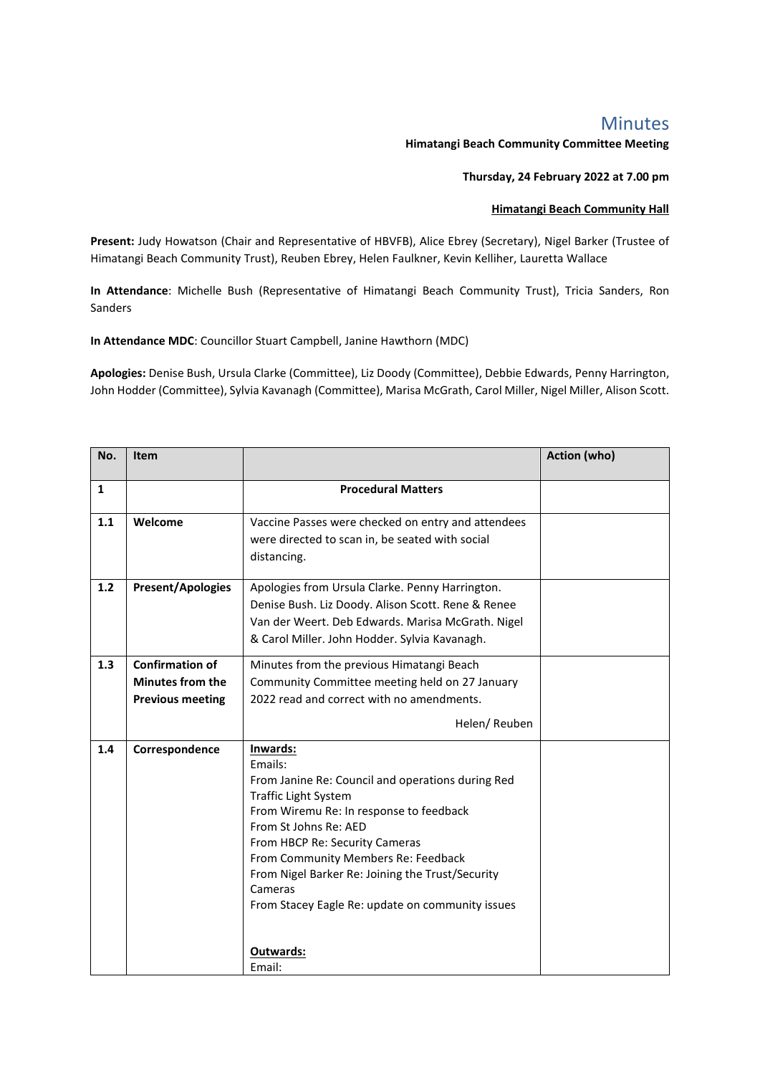## Minutes

## **Himatangi Beach Community Committee Meeting**

## **Thursday, 24 February 2022 at 7.00 pm**

## **Himatangi Beach Community Hall**

**Present:** Judy Howatson (Chair and Representative of HBVFB), Alice Ebrey (Secretary), Nigel Barker (Trustee of Himatangi Beach Community Trust), Reuben Ebrey, Helen Faulkner, Kevin Kelliher, Lauretta Wallace

**In Attendance**: Michelle Bush (Representative of Himatangi Beach Community Trust), Tricia Sanders, Ron Sanders

**In Attendance MDC**: Councillor Stuart Campbell, Janine Hawthorn (MDC)

**Apologies:** Denise Bush, Ursula Clarke (Committee), Liz Doody (Committee), Debbie Edwards, Penny Harrington, John Hodder (Committee), Sylvia Kavanagh (Committee), Marisa McGrath, Carol Miller, Nigel Miller, Alison Scott.

| No.          | <b>Item</b>              |                                                                                         | Action (who) |
|--------------|--------------------------|-----------------------------------------------------------------------------------------|--------------|
| $\mathbf{1}$ |                          | <b>Procedural Matters</b>                                                               |              |
|              |                          |                                                                                         |              |
| 1.1          | Welcome                  | Vaccine Passes were checked on entry and attendees                                      |              |
|              |                          | were directed to scan in, be seated with social                                         |              |
|              |                          | distancing.                                                                             |              |
|              |                          |                                                                                         |              |
| $1.2$        | <b>Present/Apologies</b> | Apologies from Ursula Clarke. Penny Harrington.                                         |              |
|              |                          | Denise Bush. Liz Doody. Alison Scott. Rene & Renee                                      |              |
|              |                          | Van der Weert. Deb Edwards. Marisa McGrath. Nigel                                       |              |
|              |                          | & Carol Miller. John Hodder. Sylvia Kavanagh.                                           |              |
| 1.3          | <b>Confirmation of</b>   | Minutes from the previous Himatangi Beach                                               |              |
|              | <b>Minutes from the</b>  | Community Committee meeting held on 27 January                                          |              |
|              | <b>Previous meeting</b>  | 2022 read and correct with no amendments.                                               |              |
|              |                          | Helen/ Reuben                                                                           |              |
| 1.4          | Correspondence           | Inwards:                                                                                |              |
|              |                          | Emails:                                                                                 |              |
|              |                          | From Janine Re: Council and operations during Red                                       |              |
|              |                          | <b>Traffic Light System</b>                                                             |              |
|              |                          | From Wiremu Re: In response to feedback                                                 |              |
|              |                          | From St Johns Re: AED                                                                   |              |
|              |                          | From HBCP Re: Security Cameras                                                          |              |
|              |                          | From Community Members Re: Feedback<br>From Nigel Barker Re: Joining the Trust/Security |              |
|              |                          | Cameras                                                                                 |              |
|              |                          | From Stacey Eagle Re: update on community issues                                        |              |
|              |                          |                                                                                         |              |
|              |                          |                                                                                         |              |
|              |                          | Outwards:                                                                               |              |
|              |                          | Email:                                                                                  |              |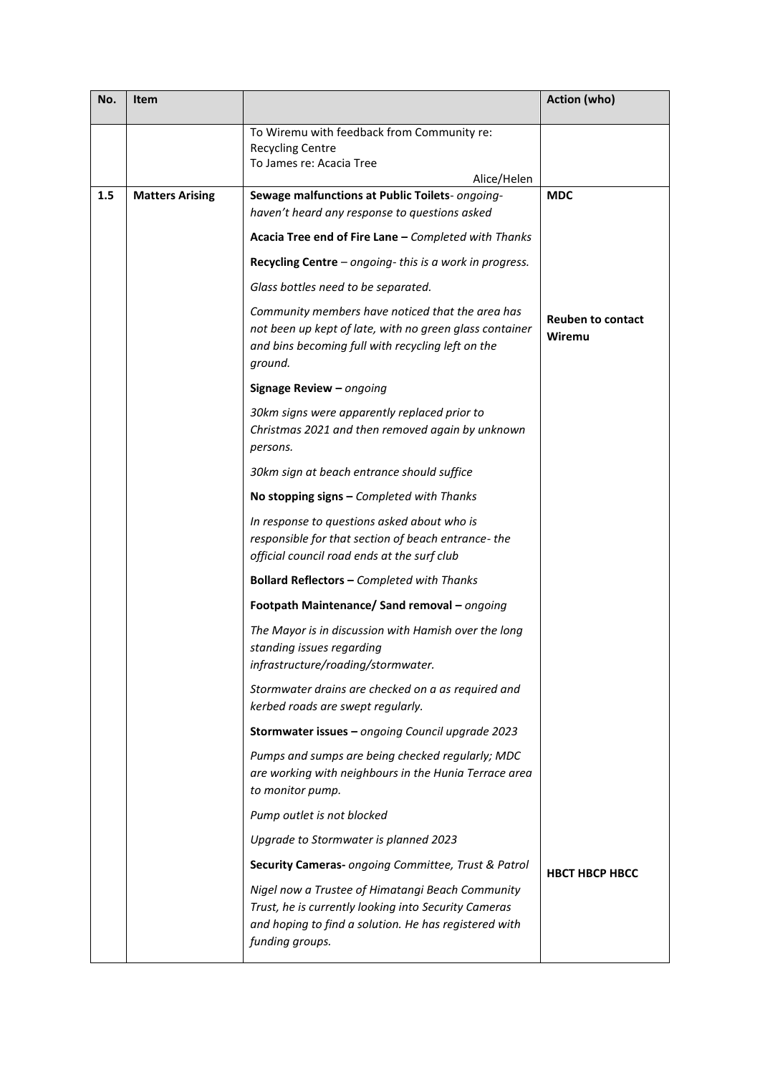| No. | Item                   |                                                                                                                                                                                      | Action (who)                       |
|-----|------------------------|--------------------------------------------------------------------------------------------------------------------------------------------------------------------------------------|------------------------------------|
|     |                        | To Wiremu with feedback from Community re:<br><b>Recycling Centre</b><br>To James re: Acacia Tree<br>Alice/Helen                                                                     |                                    |
| 1.5 | <b>Matters Arising</b> | Sewage malfunctions at Public Toilets- ongoing-                                                                                                                                      | <b>MDC</b>                         |
|     |                        | haven't heard any response to questions asked                                                                                                                                        |                                    |
|     |                        | Acacia Tree end of Fire Lane - Completed with Thanks                                                                                                                                 |                                    |
|     |                        | Recycling Centre $-$ ongoing-this is a work in progress.                                                                                                                             |                                    |
|     |                        | Glass bottles need to be separated.                                                                                                                                                  |                                    |
|     |                        | Community members have noticed that the area has<br>not been up kept of late, with no green glass container<br>and bins becoming full with recycling left on the<br>ground.          | <b>Reuben to contact</b><br>Wiremu |
|     |                        | Signage Review - ongoing                                                                                                                                                             |                                    |
|     |                        | 30km signs were apparently replaced prior to<br>Christmas 2021 and then removed again by unknown<br>persons.                                                                         |                                    |
|     |                        | 30km sign at beach entrance should suffice                                                                                                                                           |                                    |
|     |                        | No stopping signs - Completed with Thanks                                                                                                                                            |                                    |
|     |                        | In response to questions asked about who is<br>responsible for that section of beach entrance-the<br>official council road ends at the surf club                                     |                                    |
|     |                        | Bollard Reflectors - Completed with Thanks                                                                                                                                           |                                    |
|     |                        | Footpath Maintenance/ Sand removal - ongoing                                                                                                                                         |                                    |
|     |                        | The Mayor is in discussion with Hamish over the long<br>standing issues regarding<br>infrastructure/roading/stormwater.                                                              |                                    |
|     |                        | Stormwater drains are checked on a as required and<br>kerbed roads are swept regularly.                                                                                              |                                    |
|     |                        | Stormwater issues - ongoing Council upgrade 2023                                                                                                                                     |                                    |
|     |                        | Pumps and sumps are being checked regularly; MDC<br>are working with neighbours in the Hunia Terrace area<br>to monitor pump.                                                        |                                    |
|     |                        | Pump outlet is not blocked                                                                                                                                                           |                                    |
|     |                        | Upgrade to Stormwater is planned 2023                                                                                                                                                |                                    |
|     |                        | Security Cameras- ongoing Committee, Trust & Patrol                                                                                                                                  | <b>HBCT HBCP HBCC</b>              |
|     |                        | Nigel now a Trustee of Himatangi Beach Community<br>Trust, he is currently looking into Security Cameras<br>and hoping to find a solution. He has registered with<br>funding groups. |                                    |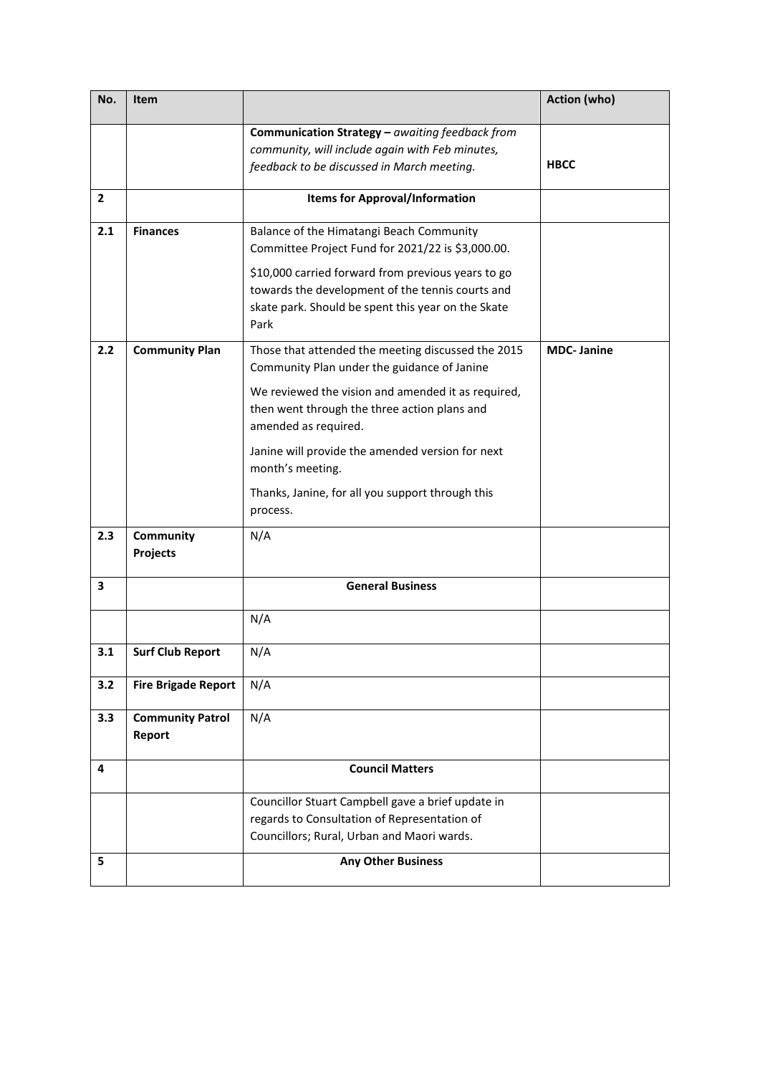| No.            | Item                              |                                                                                                                                                                                                                                                                                                                                                                         | <b>Action (who)</b> |
|----------------|-----------------------------------|-------------------------------------------------------------------------------------------------------------------------------------------------------------------------------------------------------------------------------------------------------------------------------------------------------------------------------------------------------------------------|---------------------|
|                |                                   | Communication Strategy $-$ awaiting feedback from<br>community, will include again with Feb minutes,<br>feedback to be discussed in March meeting.                                                                                                                                                                                                                      | <b>HBCC</b>         |
| $\overline{2}$ |                                   | <b>Items for Approval/Information</b>                                                                                                                                                                                                                                                                                                                                   |                     |
| 2.1            | <b>Finances</b>                   | Balance of the Himatangi Beach Community<br>Committee Project Fund for 2021/22 is \$3,000.00.<br>\$10,000 carried forward from previous years to go<br>towards the development of the tennis courts and<br>skate park. Should be spent this year on the Skate<br>Park                                                                                                   |                     |
| 2.2            | <b>Community Plan</b>             | Those that attended the meeting discussed the 2015<br>Community Plan under the guidance of Janine<br>We reviewed the vision and amended it as required,<br>then went through the three action plans and<br>amended as required.<br>Janine will provide the amended version for next<br>month's meeting.<br>Thanks, Janine, for all you support through this<br>process. | <b>MDC-Janine</b>   |
| 2.3            | Community<br>Projects             | N/A                                                                                                                                                                                                                                                                                                                                                                     |                     |
| 3              |                                   | <b>General Business</b>                                                                                                                                                                                                                                                                                                                                                 |                     |
|                |                                   | N/A                                                                                                                                                                                                                                                                                                                                                                     |                     |
| 3.1            | <b>Surf Club Report</b>           | N/A                                                                                                                                                                                                                                                                                                                                                                     |                     |
| 3.2            | <b>Fire Brigade Report</b>        | N/A                                                                                                                                                                                                                                                                                                                                                                     |                     |
| 3.3            | <b>Community Patrol</b><br>Report | N/A                                                                                                                                                                                                                                                                                                                                                                     |                     |
| 4              |                                   | <b>Council Matters</b>                                                                                                                                                                                                                                                                                                                                                  |                     |
|                |                                   | Councillor Stuart Campbell gave a brief update in<br>regards to Consultation of Representation of<br>Councillors; Rural, Urban and Maori wards.                                                                                                                                                                                                                         |                     |
| 5              |                                   | <b>Any Other Business</b>                                                                                                                                                                                                                                                                                                                                               |                     |